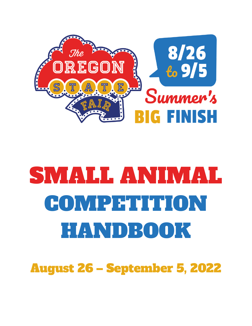

# SMALL ANIMAL COMPETITION HANDBOOK

August 26 – September 5, 2022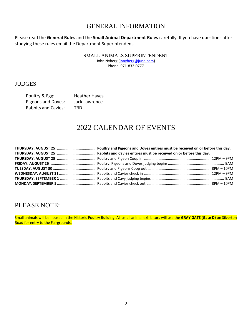## GENERAL INFORMATION

Please read the **General Rules** and the **Small Animal Department Rules** carefully. If you have questions after studying these rules email the Department Superintendent.

SMALL ANIMALS SUPERINTENDENT

John Nyberg [\(jnnyberg@juno.com\)](mailto:jnnyberg@juno.com) Phone: 971-832-0777

### **JUDGES**

| Poultry & Egg:             | <b>Heather Hayes</b> |
|----------------------------|----------------------|
| Pigeons and Doves:         | Jack Lawrence        |
| <b>Rabbits and Cavies:</b> | TBD.                 |

# 2022 CALENDAR OF EVENTS

# PLEASE NOTE:

Small animals will be housed in the Historic Poultry Building. All small animal exhibitors will use the **GRAY GATE (Gate D)** on Silverton Road for entry to the Fairgrounds.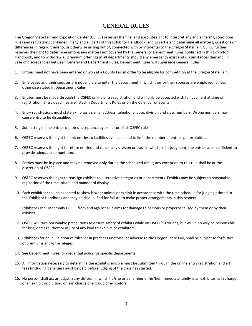### GENERAL RULES

The Oregon State Fair and Exposition Center (OSFEC) reserves the final and absolute right to interpret any and all terms, conditions, rules and regulations contained in any and all parts of this Exhibitor Handbook, and to settle and determine all matters, questions or differences in regard there to, or otherwise arising out of, connected with or incidental to the Oregon State Fair. OSFEC further reserves the right to determine unforeseen matters not covered by the General or Department Rules published in this Exhibitor Handbook, and to withdraw all premium offerings in all departments should any emergency exist and circumstances demand. In case of discrepancies between General and Department Rules, Department Rules will supersede General Rules.

- 1. Entries need not have been entered or won at a County Fair in order to be eligible for competition at the Oregon State Fair.
- 2. Employees and their spouses are not eligible to enter the department in which they or their spouses are employed, unless otherwise stated in Department Rules.
- 3. Entries must be made through the OSFEC online entry registration and will only be accepted with full payment at time of registration. Entry deadlines are listed in Department Rules or on the Calendar of Events.
- 4. Entry registrations must state exhibitor's name, address, telephone, date, division and class numbers. Wrong numbers may cause entry to be disqualified.
- 5. Submitting online entries denotes acceptance by exhibitor of all OSFEC rules.
- 6. OSFEC reserves the right to limit entries to facilities available, and to limit the number of entries per exhibitor.
- 7. OSFEC reserves the right to return entries and cancel any division or class in which, in its judgment, the entries are insufficient to provide adequate competition.
- 8. Entries must be in place and may be removed **only** during the scheduled times; any exception to this rule shall be at the discretion of OSFEC.
- 9. OSFEC reserves the right to reassign exhibits to alternative categories or departments. Exhibits may be subject to reasonable regulation of the time, place, and manner of display.
- 10. Each exhibitor shall be expected to show his/her animal or exhibit in accordance with the time schedule for judging printed in this Exhibitor Handbook and may be disqualified for failure to make proper arrangements in this respect.
- 11. Exhibitors shall indemnify OSFEC from and against all claims for damage to persons or property caused by them or by their exhibits.
- 12. OSFEC will take reasonable precautions to ensure safety of exhibits while on OSFEC's grounds, but will in no way be responsible for loss, damage, theft or injury of any kind to exhibits or exhibitors.
- 13. Exhibitors found in violation of rules, or in practices unethical or adverse to the Oregon State Fair, shall be subject to forfeiture of premiums and/or privileges.
- 14. See Department Rules for credential policy for specific departments.
- 15. All information necessary to determine the exhibit is eligible must be submitted through the online entry registration and all fees (including penalties) must be paid before judging of the class has started.
- 16. No person shall act as judge in any division in which he/she or a member of his/her immediate family is an exhibitor, is in charge of an exhibit or division, or is in charge of a group of exhibitors.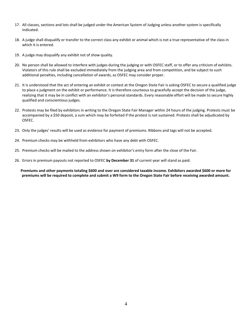- 17. All classes, sections and lots shall be judged under the American System of Judging unless another system is specifically indicated.
- 18. A judge shall disqualify or transfer to the correct class any exhibit or animal which is not a true representative of the class in which it is entered.
- 19. A judge may disqualify any exhibit not of show quality.
- 20. No person shall be allowed to interfere with judges during the judging or with OSFEC staff, or to offer any criticism of exhibits. Violators of this rule shall be excluded immediately from the judging area and from competition, and be subject to such additional penalties, including cancellation of awards, as OSFEC may consider proper.
- 21. It is understood that the act of entering an exhibit or contest at the Oregon State Fair is asking OSFEC to secure a qualified judge to place a judgment on the exhibit or performance. It is therefore courteous to gracefully accept the decision of the judge, realizing that it may be in conflict with an exhibitor's personal standards. Every reasonable effort will be made to secure highly qualified and conscientious judges.
- 22. Protests may be filed by exhibitors in writing to the Oregon State Fair Manager within 24 hours of the judging. Protests must be accompanied by a \$50 deposit, a sum which may be forfeited if the protest is not sustained. Protests shall be adjudicated by OSFEC.
- 23. Only the judges' results will be used as evidence for payment of premiums. Ribbons and tags will not be accepted.
- 24. Premium checks may be withheld from exhibitors who have any debt with OSFEC.
- 25. Premium checks will be mailed to the address shown on exhibitor's entry form after the close of the Fair.
- 26. Errors in premium payouts not reported to OSFEC **by December 31** of current year will stand as paid.

**Premiums and other payments totaling \$600 and over are considered taxable income. Exhibitors awarded \$600 or more for premiums will be required to complete and submit a W9 form to the Oregon State Fair before receiving awarded amount.**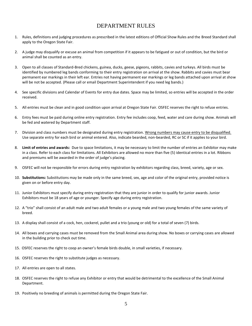### DEPARTMENT RULES

- 1. Rules, definitions and judging procedures as prescribed in the latest editions of Official Show Rules and the Breed Standard shall apply to the Oregon State Fair.
- 2. A judge may disqualify or excuse an animal from competition if it appears to be fatigued or out of condition, but the bird or animal shall be counted as an entry.
- 3. Open to all classes of Standard-Bred chickens, guinea, ducks, geese, pigeons, rabbits, cavies and turkeys. All birds must be identified by numbered leg bands conforming to their entry registration on arrival at the show. Rabbits and cavies must bear permanent ear markings in their left ear. Entries not having permanent ear markings or leg bands attached upon arrival at show will be not be accepted. (Please call or email Department Superintendent if you need leg bands.)
- 4. See specific divisions and Calendar of Events for entry due dates. Space may be limited, so entries will be accepted in the order received.
- 5. All entries must be clean and in good condition upon arrival at Oregon State Fair. OSFEC reserves the right to refuse entries.
- 6. Entry fees must be paid during online entry registration. Entry fee includes coop, feed, water and care during show. Animals will be fed and watered by Department staff.
- 7. Division and class numbers must be designated during entry registration. Wrong numbers may cause entry to be disqualified. Use separate entry for each bird or animal entered. Also, indicate bearded, non-bearded, RC or SC if it applies to your bird.
- 8. **Limit of entries and awards:** Due to space limitations, it may be necessary to limit the number of entries an Exhibitor may make in a class. Refer to each class for limitations. All Exhibitors are allowed no more than five (5) identical entries in a lot. Ribbons and premiums will be awarded in the order of judge's placing.
- 9. OSFEC will not be responsible for errors during entry registration by exhibitors regarding class, breed, variety, age or sex.
- 10. **Substitutions:** Substitutions may be made only in the same breed, sex, age and color of the original entry, provided notice is given on or before entry day.
- 11. Junior Exhibitors must specify during entry registration that they are junior in order to qualify for junior awards. Junior Exhibitors must be 18 years of age or younger. Specify age during entry registration.
- 12. A "trio" shall consist of an adult male and two adult females or a young male and two young females of the same variety of breed.
- 13. A display shall consist of a cock, hen, cockerel, pullet and a trio (young or old) for a total of seven (7) birds.
- 14. All boxes and carrying cases must be removed from the Small Animal area during show. No boxes or carrying cases are allowed in the building prior to check out time.
- 15. OSFEC reserves the right to coop an owner's female birds double, in small varieties, if necessary.
- 16. OSFEC reserves the right to substitute judges as necessary.
- 17. All entries are open to all states.
- 18. OSFEC reserves the right to refuse any Exhibitor or entry that would be detrimental to the excellence of the Small Animal Department.
- 19. Positively no breeding of animals is permitted during the Oregon State Fair.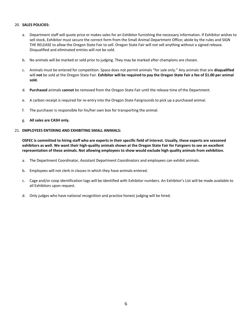#### 20. **SALES POLICIES:**

- a. Department staff will quote price or makes sales for an Exhibitor furnishing the necessary information. If Exhibitor wishes to sell stock, Exhibitor must secure the correct form from the Small Animal Department Office; abide by the rules and SIGN THE RELEASE to allow the Oregon State Fair to sell. Oregon State Fair will not sell anything without a signed release. Disqualified and eliminated entries will not be sold.
- b. No animals will be marked or sold prior to judging. They may be marked after champions are chosen.
- c. Animals must be entered for competition. Space does not permit animals "for sale only." Any animals that are **disqualified** will **not** be sold at the Oregon State Fair. **Exhibitor will be required to pay the Oregon State Fair a fee of \$1.00 per animal sold.**
- d. **Purchased** animals **cannot** be removed from the Oregon State Fair until the release time of the Department.
- e. A carbon receipt is required for re-entry into the Oregon State Fairgrounds to pick up a purchased animal.
- f. The purchaser is responsible for his/her own box for transporting the animal.
- g. **All sales are CASH only.**

#### 21. **EMPLOYEES ENTERING AND EXHIBITING SMALL ANIMALS:**

**OSFEC is committed to hiring staff who are experts in their specific field of interest. Usually, these experts are seasoned exhibitors as well. We want their high-quality animals shown at the Oregon State Fair for Fairgoers to see an excellent representation of these animals. Not allowing employees to show would exclude high quality animals from exhibition.**

- a. The Department Coordinator, Assistant Department Coordinators and employees can exhibit animals.
- b. Employees will not clerk in classes in which they have animals entered.
- c. Cage and/or coop identification tags will be identified with Exhibitor numbers. An Exhibitor's List will be made available to all Exhibitors upon request.
- d. Only judges who have national recognition and practice honest judging will be hired.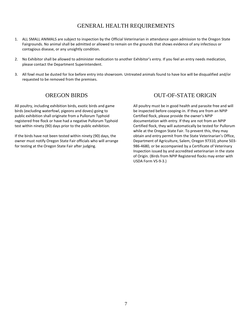### GENERAL HEALTH REQUIREMENTS

- 1. ALL SMALL ANIMALS are subject to inspection by the Official Veterinarian in attendance upon admission to the Oregon State Fairgrounds. No animal shall be admitted or allowed to remain on the grounds that shows evidence of any infectious or contagious disease, or any unsightly condition.
- 2. No Exhibitor shall be allowed to administer medication to another Exhibitor's entry. If you feel an entry needs medication, please contact the Department Superintendent.
- 3. All fowl must be dusted for lice before entry into showroom. Untreated animals found to have lice will be disqualified and/or requested to be removed from the premises.

### OREGON BIRDS

All poultry, including exhibition birds, exotic birds and game birds (excluding waterfowl, pigeons and doves) going to public exhibition shall originate from a Pullorum Typhoid registered free flock or have had a negative Pullorum Typhoid test within ninety (90) days prior to the public exhibition.

If the birds have not been tested within ninety (90) days, the owner must notify Oregon State Fair officials who will arrange for testing at the Oregon State Fair after judging.

### OUT-OF-STATE ORIGIN

All poultry must be in good health and parasite free and will be inspected before cooping-in. If they are from an NPIP Certified flock, please provide the owner's NPIP documentation with entry. If they are not from an NPIP Certified flock, they will automatically be tested for Pullorum while at the Oregon State Fair. To prevent this, they may obtain and entry permit from the State Veterinarian's Office, Department of Agriculture, Salem, Oregon 97310, phone 503- 986-4680, or be accompanied by a Certificate of Veterinary Inspection issued by and accredited veterinarian in the state of Origin. (Birds from NPIP Registered flocks may enter with USDA Form VS-9-3.)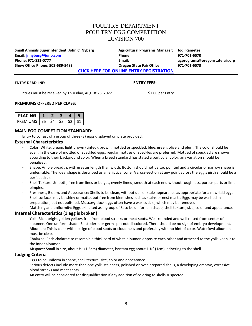### POULTRY DEPARTMENT POULTRY EGG COMPETITION DIVISION 700

**Small Animals Superintendent: John C. Nyberg Agricultural Programs Manager: Jodi Rametes Email: [jnnyberg@juno.com](mailto:jnnyberg@juno.com) Phone: 971-701-6570 Phone: 971-832-0777 Email: agprograms@oregonstatefair.org Show Office Phone: 503-689-5483 Oregon State Fair Office: 971-701-6573**

**[CLICK HERE FOR ONLINE ENTRY REGISTRATION](http://oregona.fairwire.com/)**

#### **ENTRY DEADLINE: ENTRY FEES:**

Entries must be received by Thursday, August 25, 2022. \$1.00 per Entry

#### **PREMIUMS OFFERED PER CLASS:**

| <b>PLACING</b> |     |      |  |  |
|----------------|-----|------|--|--|
| PREMIUMS       | -S5 | - 54 |  |  |

#### **MAIN EGG COMPETITION STANDARD:**

Entry to consist of a group of three (3) eggs displayed on plate provided.

#### **External Characteristics**

- Color: White, cream, light brown (tinted), brown, mottled or speckled, blue, green, olive and plum. The color should be even. In the case of mottled or speckled eggs, regular mottles or speckles are preferred. Mottled of speckled are shown according to their background color. When a breed standard has stated a particular color, any variation should be penalized.
- Shape: Ample breadth, with greater length than width. Bottom should not be too pointed and a circular or narrow shape is undesirable. The ideal shape is described as an elliptical cone. A cross-section at any point across the egg's girth should be a perfect circle.
- Shell Texture: Smooth, free from lines or bulges, evenly limed, smooth at each end without roughness, porous parts or lime pimples.
- Freshness, Bloom, and Appearance: Shells to be clean, without dull or stale appearance as appropriate for a new-laid egg. Shell surfaces may be shiny or matte, but free from blemishes such as stains or nest marks. Eggs may be washed in preparation, but not polished. Muscovy duck eggs often have a wax cuticle, which may be removed.
- Matching and uniformity: Eggs exhibited as a group of 3, to be uniform in shape, shell texture, size, color and appearance.

#### **Internal Characteristics (1 egg is broken)**

- Yolk: Rich, bright golden yellow, free from blood streaks or meat spots. Well-rounded and well raised from center of albumen. One uniform shade. Blastoderm or germ spot not discolored. There should be no sign of embryo development.
- Albumen: This is clear with no sign of blood spots or cloudiness and preferably with no hint of color. Waterfowl albumen must be clear.
- Chalazae: Each chalazae to resemble a thick cord of white albumen opposite each other and attached to the yolk, keep it to the inner albumen.
- Airspace: Small in size, about ½" (1.5cm) diameter, bantam egg about 1 ¾" (1cm), adhering to the shell.

#### **Judging Criteria**

- Eggs to be uniform in shape, shell texture, size, color and appearance.
- Serious defects include more than one yolk, staleness, polished or over-prepared shells, a developing embryo, excessive blood streaks and meat spots.
- An entry will be considered for disqualification if any addition of coloring to shells suspected.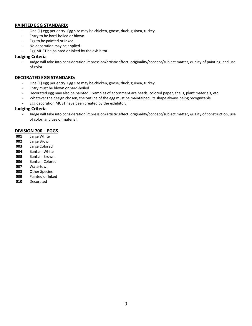#### **PAINTED EGG STANDARD:**

- One (1) egg per entry. Egg size may be chicken, goose, duck, guinea, turkey.
- Entry to be hard-boiled or blown.
- Egg to be painted or inked.
- No decoration may be applied.
- Egg MUST be painted or inked by the exhibitor.

#### **Judging Criteria**

- Judge will take into consideration impression/artistic effect, originality/concept/subject matter, quality of painting, and use of color.

#### **DECORATED EGG STANDARD:**

- One (1) egg per entry. Egg size may be chicken, goose, duck, guinea, turkey.
- Entry must be blown or hard-boiled.
- Decorated egg may also be painted. Examples of adornment are beads, colored paper, shells, plant materials, etc.
- Whatever the design chosen, the outline of the egg must be maintained, its shape always being recognizable.
- Egg decoration MUST have been created by the exhibitor.

#### **Judging Criteria**

- Judge will take into consideration impression/artistic effect, originality/concept/subject matter, quality of construction, use of color, and use of material.

#### **DIVISION 700 – EGGS**

- **001** Large White
- **002** Large Brown
- **003** Large Colored
- **004** Bantam White
- **005** Bantam Brown
- **006** Bantam Colored
- **007** Waterfowl
- **008** Other Species
- **009** Painted or Inked
- **010** Decorated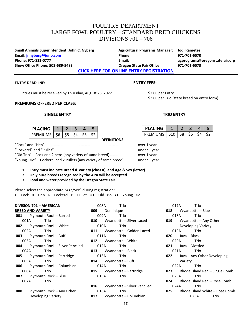### POULTRY DEPARTMENT LARGE FOWL POULTRY – STANDARD BRED CHICKENS DIVISIONS 701 – 706

**Small Animals Superintendent: John C. Nyberg Agricultural Programs Manager: Jodi Rametes Email: [jnnyberg@juno.com](mailto:jnnyberg@juno.com) Phone: 971-701-6570 Phone: 971-832-0777 Email: agprograms@oregonstatefair.org Show Office Phone: 503-689-5483 Oregon State Fair Office: 971-701-6573**

**[CLICK HERE FOR ONLINE ENTRY REGISTRATION](http://oregona.fairwire.com/)**

#### **ENTRY DEADLINE: ENTRY FEES:**

Entries must be received by Thursday, August 25, 2022. \$2.00 per Entry

#### **PREMIUMS OFFERED PER CLASS:**

#### **SINGLE ENTRY TRIO ENTRY**

| <b>PLACING</b>                       |  |                               |  |
|--------------------------------------|--|-------------------------------|--|
| PREMIUMS $ $ \$6 $ $ \$5 $ $ \$4 $ $ |  | S <sub>3</sub> S <sub>2</sub> |  |

**DEFINITIONS:**

# \$3.00 per Trio (state breed on entry form)

| <b>PLACING</b>              |  |    |  |
|-----------------------------|--|----|--|
| PREMIUMS   \$10   \$8   \$6 |  | SΔ |  |

| "Young Trio" - Cockerel and 2 Pullets (any variety of same breed)  under 1 year |  |
|---------------------------------------------------------------------------------|--|

- **1. Entry must indicate Breed & Variety (class #), and Age & Sex (letter).**
- **2. Only pure breeds recognized by the APA will be accepted.**
- **3. Food and water provided by the Oregon State Fair.**

Please select the appropriate "Age/Sex" during registration: **C** – Cock **H** – Hen **K** – Cockerel **P** – Pullet **OT** – Old Trio **YT** – Young Trio

|     | <b>DIVISION 701 - AMERICAN</b> |                                            |      | 008A      | Trio                                |
|-----|--------------------------------|--------------------------------------------|------|-----------|-------------------------------------|
|     | <b>BREED AND VARIETY</b>       |                                            | 009  | Dominique |                                     |
|     |                                | 001 Plymouth Rock - Barred                 | 009A |           | Trio                                |
|     | 001A                           | Trio                                       |      |           | <b>010</b> Wyandotte – Silver Laced |
|     |                                | <b>002</b> Plymouth Rock – White           | 010A |           | Trio                                |
|     | 002A                           | Trio                                       |      |           | 011 Wyandotte – Golden Laced        |
|     |                                | 003 Plymouth Rock – Buff                   | 011A |           | Trio                                |
|     | 003A                           | Trio                                       |      |           | 012 Wyandotte – White               |
|     |                                | <b>004</b> Plymouth Rock – Silver Penciled | 012A |           | Trio                                |
|     | 004A                           | Trio                                       |      |           | $013$ Wyandotte – Black             |
|     |                                | <b>005</b> Plymouth Rock – Partridge       |      | 013A      | Trio                                |
|     | 005A                           | Trio                                       |      |           | $014$ Wyandotte – Buff              |
|     |                                | 006 Plymouth Rock - Columbian              | 014A |           | Trio                                |
|     | 006A                           | Trio                                       |      |           | <b>015</b> Wyandotte – Partridge    |
|     |                                | 007 Plymouth Rock - Blue                   |      | 015A      | Trio                                |
|     | 007A —                         | Trio                                       |      |           |                                     |
|     |                                |                                            |      |           | 016 Wyandotte - Silver Penciled     |
| 008 |                                | Plymouth Rock – Any Other                  | 016A |           | Trio                                |
|     |                                | Developing Variety                         | 017  |           | Wyandotte – Columbian               |

017A Trio **018** Wyandotte – Blue 018A Trio **019** Wyandotte – Any Other Developing Variety 019A Trio **020** Java – Black 020A Trio **021** Java – Mottled 021A Trio **022** Java – Any Other Developing Variety 022A Trio **023** Rhode Island Red – Single Comb 023A Trio **024** Rhode Island Red – Rose Comb 024A Trio **025** Rhode Island White – Rose Comb 025A Trio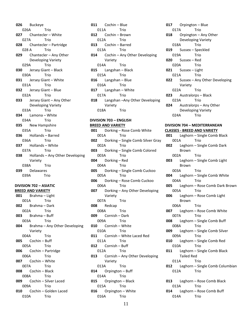**026** Buckeye 026A Trio **027** Chantecler – White 027A Trio **028** Chantecler – Partridge 028 A Trio **029** Chantecler – Any Other Developing Variety 029A Trio **030** Jersey Giant – Black 030A Trio **031** Jersey Giant – White 031A Trio **032** Jersey Giant – Blue 032A Trio **033** Jersey Giant – Any Other Developing Variety 033A Trio **034** Lamona – White 034A Trio **035** New Hampshire 035A Trio **036** Hollands – Barred 036A Trio **037** Hollands – White 037A Trio **038** Hollands – Any Other Developing Variety 038A Trio **039** Delawares 039A Trio

#### **DIVISION 702 – ASIATIC BREED AND VARIETY**

**001** Brahma – Light 001A Trio **002** Brahma – Dark 002A Trio **003** Brahma – Buff 003A Trio **004** Brahma – Any Other Developing Variety 004A Trio **005** Cochin – Buff 005A Trio **006** Cochin – Partridge 006A Trio **007** Cochin – White 007A Trio **008** Cochin – Black 008A Trio **009** Cochin – Silver Laced 009A Trio **010** Cochin – Golden Laced 010A Trio

**011** Cochin – Blue 011A Trio **012** Cochin – Brown 012A Trio **013** Cochin – Barred 013A Trio **014** Cochin – Any Other Developing Variety 014A Trio **015** Langshan – Black 015A Trio **016** Langshan – Blue 016A Trio **017** Langshan – White 017A Trio **018** Langshan –Any Other Developing Variety 018A Trio

#### **DIVISION 703 – ENGLISH BREED AND VARIETY 001** Dorking – Rose Comb White 001A Trio **002** Dorking – Single Comb Silver Gray 002A Trio **003** Dorking – Single Comb Colored 003A Trio **004** Dorking – Red 004A Trio **005** Dorking – Single Comb Cuckoo 005A Trio **006** Dorking – Rose Comb Cuckoo 006A Trio **007** Dorking – Any Other Developing Variety 007A Trio **008** Redcap 008A Trio **009** Cornish – Dark 009A Trio **010** Cornish – White 010A Trio **011** Cornish – White Laced Red 011A Trio **012** Cornish – Buff 012A Trio **013** Cornish – Any Other Developing Variety 013A Trio **014** Orpington – Buff

014A Trio **015** Orpington – Black 015A Trio **016** Orpington – White 016A Trio

**017** Orpington – Blue 017A Trio **018** Orpington – Any Other Developing Variety 018A Trio **019** Sussex – Speckled 019A Trio **020** Sussex – Red 020A Trio **021** Sussex – Light 021A Trio **022** Sussex – Any Other Developing Variety 022A Trio **023** Australorps – Black 023A Trio **024** Australorps – Any Other Developing Variety 024A Trio

#### **DIVISION 704 – MEDITERRANEAN CLASSES - BREED AND VARIETY**

**001** Leghorn – Single Comb Black 001A Trio **002** Leghorn – Single Comb Dark Brown 002A Trio **003** Leghorn – Single Comb Light Brown 003A Trio **004** Leghorn – Single Comb White 004A Trio **005** Leghorn – Rose Comb Dark Brown 005A Trio **006** Leghorn – Rose Comb Light Brown 006A Trio **007** Leghorn – Rose Comb White 007A Trio **008** Leghorn – Single Comb Buff 008A Trio **009** Leghorn – Single Comb Silver 009A Trio **010** Leghorn – Single Comb Red 010A Trio **011** Leghorn – Single Comb Black Tailed Red 011A Trio **012** Leghorn – Single Comb Columbian 012A Trio **013** Leghorn – Rose Comb Black 013A Trio **014** Leghorn – Rose Comb Buff 014A Trio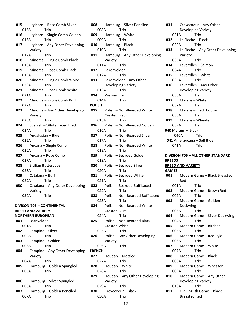**015** Leghorn – Rose Comb Silver 015A Trio **016** Leghorn – Single Comb Golden 016A Trio **017** Leghorn – Any Other Developing Variety 017A Trio **018** Minorca – Single Comb Black 018A Trio **019** Minorca – Rose Comb Black 019A Trio **020** Minorca – Single Comb White 020A Trio **021** Minorca – Rose Comb White 021A Trio **022** Minorca – Single Comb Buff 022A Trio **023** Minorca – Any Other Developing Variety 023A Trio **024** Spanish – White Faced Black 024A Trio **025** Andalusian – Blue 025A Trio **026** Ancona – Single Comb 026A Trio **027** Ancona – Rose Comb 027A Trio **028** Sicilian Buttercups 028A Trio **029** Catalana – Buff 029A Trio **030** Catalana – Any Other Developing Variety 030A Trio **DIVISON 705 – CONTINENTAL BREED AND VARIETY NORTHERN EUROPEAN 001** Barnvelder 001A Trio **002** Campine – Silver 002A Trio **003** Campine – Golden 003A Trio **004** Campine – Any Other Developing Variety 004A Trio **005** Hamburg – Golden Spangled 005A Trio **006** Hamburg – Silver Spangled 006A Trio **007** Hamburg – Golden Penciled

007A Trio

**008** Hamburg – Silver Penciled 008A Trio **009** Hamburg – White 009A Trio **010** Hamburg – Black 010A Trio **011** Hamburg – Any Other Developing Variety 011A Trio **012** Lakenvelder 012A Trio **013** Lakenvelder – Any Other Developing Variety 013A Trio **014** Welsummer 014A Trio **POLISH 015** Polish – Non-Bearded White Crested Black 015A Trio **016** Polish – Non-Bearded Golden 016A Trio **017** Polish – Non-Bearded Silver 017A Trio **018** Polish – Non-Bearded White 018A Trio **019** Polish – Bearded Golden 019A Trio **020** Polish – Bearded Silver 020A Trio **021** Polish – Bearded White 021A Trio **022** Polish – Bearded Buff Laced 022A Trio **023** Polish – Non-Bearded Buff Laced 023A Trio **024** Polish – Non-Bearded White Crested Blue 024A Trio **025** Polish – Non-Bearded Black Crested White 025A Trio **026** Polish – Any Other Developing Variety 026A Trio **FRENCH 027** Houdan – Mottled 027A Trio **028** Houdan – White 028A Trio **029** Houdan – Any Other Developing Variety 029A Trio **030** Crevecoeur – Black 030A Trio

**031** Crevecoeur – Any Other Developing Variety 031A Trio **032** La Fleche – Black 032A Trio **033** La Fleche – Any Other Developing Variety 033A Trio **034** Faverolles – Salmon 034A Trio **035** Faverolles – White 035A Trio **036** Faverolles – Any Other Developing Variety 036A Trio **037** Marans – White 037A Trio **038** Marans – Black Copper 038A Trio **039** Marans – Wheaten 039A Trio **040** Marans – Black 040A Trio  **041** Ameraucana – Self Blue 041A Trio **DIVISION 706 – ALL OTHER STANDARD BREEDS BREED AND VARIETY GAMES 001** Modern Game – Black Breasted Red 001A Trio **002** Modern Game – Brown Red 002A Trio **003** Modern Game – Golden Duckwing 003A Trio **004** Modern Game – Silver Duckwing 004A Trio **005** Modern Game – Birchen 005A Trio **006** Modern Game – Red Pyle 006A Trio **007** Modern Game – White 007A Trio **008** Modern Game – Black 008A Trio **009** Modern Game – Wheaten 009A Trio **010** Modern Game – Any Other Developing Variety 010A Trio **011** Old English Game – Black Breasted Red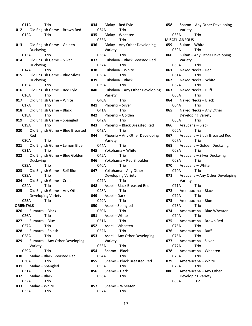011A Trio **012** Old English Game – Brown Red 012A Trio **013** Old English Game – Golden Duckwing 013A Trio **014** Old English Game – Silver Duckwing 014A Trio **015** Old English Game – Blue Silver Duckwing 015A Trio **016** Old English Game – Red Pyle 016A Trio **017** Old English Game – White 017A Trio **018** Old English Game – Black 018A Trio **019** Old English Game – Spangled 019A Trio **020** Old English Game – Blue Breasted Red 020A Trio **021** Old English Game – Lemon Blue 021A Trio **022** Old English Game – Blue Golden Duckwing 022A Trio **023** Old English Game – Self Blue 023A Trio **024** Old English Game – Crele 024A Trio **025** Old English Game – Any Other Developing Variety 025A Trio **ORIENTALS 026** Sumatra – Black 026A Trio **027** Sumatra – Blue 027A Trio **028** Sumatra – Splash 028A Trio **029** Sumatra – Any Other Developing Variety 029A Trio **030** Malay – Black Breasted Red 030A Trio **031** Malay – Spangled 031A Trio **032** Malay – Black 032A Trio **033** Malay – White 033A Trio

**034** Malay – Red Pyle 034A Trio **035** Malay – Wheaten 035A Trio **036** Malay – Any Other Developing Variety 036A Trio **037** Cubalaya – Black Breasted Red 037A Trio **038** Cubalaya – White 038A Trio **039** Cubalaya – Black 039A Trio **040** Cubalaya – Any Other Developing Variety 040A Trio **041** Phoenix – Silver 041A Trio **042** Phoenix – Golden 042A Trio **043** Phoenix – Black Breasted Red 043A Trio **044** Phoenix – Any Other Developing Variety 044A Trio **045** Yokohama – White 045A Trio **046** Yokohama – Red Shoulder 046A Trio **047** Yokohama – Any Other Developing Variety 047A Trio **048** Aseel – Black Breasted Red 048A Trio **049** Aseel – Dark 049A Trio **050** Aseel – Spangled 050A Trio **051** Aseel – White 051A Trio **052** Aseel – Wheaten 052A Trio **053** Aseel – Any Other Developing Variety 053A Trio **054** Shamo – Black 054A Trio **055** Shamo – Black Breasted Red 055A Trio **056** Shamo – Dark 056A Trio **057** Shamo – Wheaten 057A Trio

**058** Shamo – Any Other Developing Variety 058A Trio **MISCELLANEOUS 059** Sultan – White 059A Trio **060** Sultan – Any Other Developing Variety 060A Trio **061** Naked Necks – Red 061A Trio **062** Naked Necks – White 062A Trio **063** Naked Necks – Buff 063A Trio **064** Naked Necks – Black 064A Trio **065** Naked Necks – Any Other Developing Variety 065A Trio **066** Araucana – Black 066A Trio **067** Araucana – Black Breasted Red 067A Trio **068** Araucana – Golden Duckwing 068A Trio **069** Araucana – Silver Duckwing 069A Trio **070** Araucana – White 070A Trio **071** Araucana – Any Other Developing Variety 071A Trio **072** Ameraucana – Black 072A Trio **073** Ameraucana – Blue 073A Trio **074** Ameraucana – Blue Wheaten 074A Trio **075** Ameraucana – Brown Red 075A Trio **076** Ameraucana – Buff 076A Trio **077** Ameraucana – Silver 077A Trio **078** Ameraucana – Wheaten 078A Trio **079** Ameraucana – White 079A Trio **080** Ameraucana – Any Other Developing Variety 080A Trio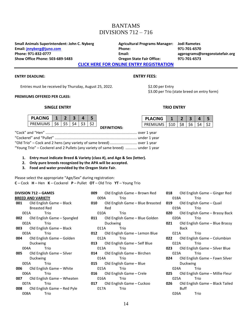### BANTAMS DIVISIONS 712 – 716

**Small Animals Superintendent: John C. Nyberg Agricultural Programs Manager: Jodi Rametes Email: [jnnyberg@juno.com](mailto:jnnyberg@juno.com) Phone: 971-701-6570 Phone: 971-832-0777 Email: agprograms@oregonstatefair.org Show Office Phone: 503-689-5483 Oregon State Fair Office: 971-701-6573**

**[CLICK HERE FOR ONLINE ENTRY REGISTRATION](http://oregona.fairwire.com/)**

#### **ENTRY DEADLINE: ENTRY FEES:**

Entries must be received by Thursday, August 25, 2022. \$2.00 per Entry

#### **PREMIUMS OFFERED PER CLASS:**

#### **SINGLE ENTRY TRIO ENTRY**

| PLACING  |         |            |  |  |
|----------|---------|------------|--|--|
| PREMIUMS | - \$6 - | $\sqrt{5}$ |  |  |

|  |  | <b>DEFINITIONS:</b> |  |
|--|--|---------------------|--|

|  | ENIKY FEES: |  |  |
|--|-------------|--|--|
|  |             |  |  |

\$3.00 per Trio (state breed on entry form)

| <b>PLACING</b> |      |          |  |  |
|----------------|------|----------|--|--|
| PREMIUMS       | \$10 | - S.R. - |  |  |

| "Old Trio" – Cock and 2 hens (any variety of same breed)  over 1 year           |  |
|---------------------------------------------------------------------------------|--|
| "Young Trio" – Cockerel and 2 Pullets (any variety of same breed)  under 1 year |  |

- **1. Entry must indicate Breed & Variety (class #), and Age & Sex (letter).**
- **2. Only pure breeds recognized by the APA will be accepted.**
- **3. Food and water provided by the Oregon State Fair.**

Please select the appropriate "Age/Sex" during registration: **C** – Cock **H** – Hen **K** – Cockerel **P** – Pullet **OT** – Old Trio **YT** – Young Trio

|       | <b>DIVISION 712 - GAMES</b>            |
|-------|----------------------------------------|
|       | <b>BREED AND VARIETY</b>               |
| 001 — | Old English Game – Black               |
|       | Breasted Red                           |
|       | Trio<br>001A                           |
| 002 — | Old English Game - Spangled            |
|       | 002A — 1<br>Trio                       |
| 003 — | Old English Game - Black               |
|       | 003A<br>Trio                           |
| 004 — | Old English Game - Golden              |
|       | Duckwing                               |
|       | 004A<br>Trio                           |
| 005 — | Old English Game - Silver              |
|       | Duckwing                               |
|       | 005A - E<br>Trio                       |
| 006 — | Old English Game – White               |
|       | 006A<br>Trio                           |
| 007 — | Old English Game - Wheaten             |
|       | 007A — 1<br>Trio                       |
|       | <b>008</b> Old English Game – Red Pyle |
| 008A  | Trio                                   |

| 009 — | Old English Game – Brown Red             |  |  |
|-------|------------------------------------------|--|--|
|       | 009A <b>Marc</b><br>Trio                 |  |  |
| 010   | Old English Game - Blue Breasted         |  |  |
|       | Red                                      |  |  |
|       | 010A<br>Trio T                           |  |  |
| 011   | Old English Game – Blue Golden           |  |  |
|       | Duckwing                                 |  |  |
|       | Trio<br>011A                             |  |  |
|       | <b>012</b> Old English Game – Lemon Blue |  |  |
|       | 012A DI<br>Trio                          |  |  |
|       | 013 Old English Game - Self Blue         |  |  |
|       | 013A - 1<br>Trio                         |  |  |
|       | <b>014</b> Old English Game – Birchen    |  |  |
|       | 014A <b>Marc</b><br>Trio                 |  |  |
|       | <b>015</b> Old English Game – Blue       |  |  |
|       | 015A - E<br>Trio                         |  |  |
|       | <b>016</b> Old English Game – Crele      |  |  |
|       | 016A - 10<br>Trio                        |  |  |
| 017   | Old English Game - Cuckoo                |  |  |
|       | 017A - 11<br>Trio                        |  |  |
|       |                                          |  |  |

**018** Old English Game – Ginger Red 018A Trio **019** Old English Game – Quail 019A Trio **020** Old English Game – Brassy Back 020A Trio **021** Old English Game – Blue Brassy Back 021A Trio **022** Old English Game – Columbian 022A **023** Old English Game – Silver Blue 023A Trio **024** Old English Game – Fawn Silver Duckwing 024A Trio **025** Old English Game – Millie Fleur 025A Trio **026** Old English Game – Black Tailed Buff 026A Trio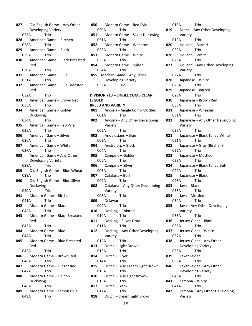**027** Old English Game – Any Other Developing Variety 027A Trio **028** American Game – Birchen 028A Trio **029** American Game – Black 029A Trio **030** American Game – Black Breasted Red 030A Trio **031** American Game – Blue 031A Trio **032** American Game – Blue Breasted Red 032A Trio **033** American Game – Brown Red 033A Trio **034** American Game – Golden Duckwing 034A Trio **035** American Game – Red Pyle 035A Trio **036** American Game – Silver 036A Trio **037** American Game – White 037A Trio **038** American Game – Any Other Developing Variety 038A Trio **039** Old English Game – Blue Wheaten 039A Trio **040** Old English Game – Blue Silver Duckwing 040A Trio **041** Modern Game – Birchen 041A Trio **042** Modern Game – Black 042A Trio **043** Modern Game – Black Breasted Red 043A Trio **044** Modern Game – Blue 044A Trio **045** Modern Game – Blue Breasted Red 045A Trio **046** Modern Game – Brown Red 046A Trio **047** Modern Game – Ginger Red 047A Trio **048** Modern Game – Golden Duckwing 048A Trio **049** Modern Game – Lemon Blue 049A Trio

**050** Modern Game – Red Pyle 050A Trio **051** Modern Game – Silver Duckwing 051A Trio **052** Modern Game – Wheaton 052A Trio **053** Modern Game – White 053A Trio **054** Modern Game – Splash 054A Trio **055** Modern Game – Any Other Developing Variety 055A Trio **DIVISION 713 – SINGLE COMB CLEAN LEGGED BREED AND VARIETY 001** Ancona – Single Comb Mottled 001A Trio **002** Ancona – Any Other Developing Variety 002A Trio **003** Andalusians – Blue 003A Trio **004** Australorp – Black 004A Trio **005** Campine – Golden 005A Trio **006** Campine – Silver 006A Trio **007** Catalana – Buff 007A Trio

**008** Catalana – Any Other Developing Variety 008A Trio **009** Delaware 009A Trio **010** Dorking – Colored 010A Trio **011** Dorking – Silver-Gray 011A Trio **012** Dorking – Any Other Developing Variety 012A Trio **013** Dutch – Light Brown 013A Trio **014** Dutch – Silver 014A Trio **015** Dutch – Blue Cream Light Brown 015A Trio **016** Dutch – Blue Light Brown 016A Trio **017** Dutch – Black 017A Trio

**018** Dutch – Cream Light Brown

018A Trio **019** Dutch – Any Other Developing Variety 019A Trio **020** Holland – Barred 020A Trio **026** Holland – White 026A Trio **027** Holland – Any Other Developing Variety 027A Trio **028** Japanese – White 028A Trio **029** Japanese – Barred 029A Trio **030** Japanese – Brown Red 030A Trio **031** Japanese – Wheaten 031A Trio **032** Japanese – Any Other Developing Variety 032A Trio **021** Japanese – Black Tailed White 021A Trio **022** Japanese – Gray (Birchen) 022A Trio **023** Japanese – Mottled 022A Trio **024** Japanese – Black Tailed Buff 022A Trio **025** Japanese – Black 025A Trio **033** Java – Black 033A Trio **034** Java – Mottled 034A Trio **035** Java – Any Other Developing Variety 035A Trio **036** Jersey Giant – Black 036A Trio **037** Jersey Giant – White 037A Trio **038** Jersey Giant – Any Other Developing Variety 038A Trio **039** Lakenvelder 039A Trio **040** Lakenvelder – Any Other Developing Variety 040A Trio **041** Lamona – White 041A Trio **042** Lamona – Any Other Developing Variety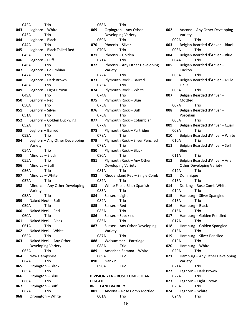042A Trio **043** Leghorn – White 043A Trio **044** Leghorn – Black 044A Trio **045** Leghorn – Black Tailed Red 045A Trio **046** Leghorn – Buff 046A Trio **047** Leghorn – Columbian 047A Trio **048** Leghorn – Dark Brown 048A Trio **049** Leghorn – Light Brown 049A Trio **050** Leghorn – Red 050A Trio **051** Leghorn – Silver 051A Trio **052** Leghorn – Golden Duckwing 052A Trio **053** Leghorn – Barred 053A Trio **054** Leghorn – Any Other Developing Variety 054A Trio **055** Minorca – Black 055A Trio **056** Minorca – Buff 056A Trio **057** Minorca – White 057A Trio **058** Minorca – Any Other Developing Variety 058A Trio **059** Naked Neck – Buff 059A Trio **060** Naked Neck – Red 060A Trio **061** Naked Neck – Black 061A Trio **062** Naked Neck – White 062A Trio **063** Naked Neck – Any Other Developing Variety 063A Trio **064** New Hampshire 064A Trio **065** Orpington – Black 065A Trio **066** Orpington – Blue 066A Trio **067** Orpington – Buff 067A Trio **068** Orpington – White

068A Trio **069** Orpington – Any Other Developing Variety 069A Trio **070** Phoenix – Silver 070A Trio **071** Phoenix – Golden 071A Trio **072** Phoenix – Any Other Developing Variety 072A Trio **073** Plymouth Rock – Barred 073A Trio **074** Plymouth Rock – White 074A Trio **075** Plymouth Rock – Blue 075A Trio **076** Plymouth Rock – Buff 076A Trio **077** Plymouth Rock – Columbian 077A Trio **078** Plymouth Rock – Partridge 078A Trio **079** Plymouth Rock – Silver Penciled 079A Trio **080** Plymouth Rock – Black 080A Trio **081** Plymouth Rock – Any Other Developing Variety 081A Trio **082** Rhode Island Red – Single Comb 082A Trio **083** White Faced Black Spanish 083A Trio **084** Sussex – Light 084A Trio **085** Sussex – Red 085A Trio **086** Sussex – Speckled 086A Trio **087** Sussex – Any Other Developing Variety 087A Trio **088** Welsummer – Partridge 088A Trio **089** American Serama – White 089A Trio **090** Nankin 090A Trio

**DIVISION 714 – ROSE COMB CLEAN LEGGED BREED AND VARIETY 001** Ancona – Rose Comb Mottled 001A Trio

**002** Ancona – Any Other Developing Variety 002A Trio **003** Belgian Bearded d'Anver – Black 003A Trio **004** Belgian Bearded d'Anver – Blue 004A Trio **005** Belgian Bearded d'Anver – Cuckoo 005A Trio **006** Belgian Bearded d'Anver – Mille Fleur 006A Trio **007** Belgian Bearded d'Anver – Mottled 007A Trio **008** Belgian Bearded d'Anver – Porcelain 008A Trio **009** Belgian Bearded d'Anver – Quail 009A Trio **010** Belgian Bearded d'Anver – White 010A Trio **011** Belgian Bearded d'Anver – Self **Blue** 011A Trio **012** Belgian Bearded d'Anver – Any Other Developing Variety 012A Trio **013** Dominique 013A Trio **014** Dorking – Rose Comb White 014A Trio **015** Hamburg – Silver Spangled 015A Trio **016** Hamburg – Black 016A Trio **017** Hamburg – Golden Penciled 017A Trio **018** Hamburg – Golden Spangled 018A Trio **019** Hamburg – Silver Penciled 019A Trio **020** Hamburg – White 020A Trio **021** Hamburg – Any Other Developing Variety 021A Trio **022** Leghorn – Dark Brown 022A Trio **023** Leghorn – Light Brown 023A Trio **024** Leghorn – White

024A Trio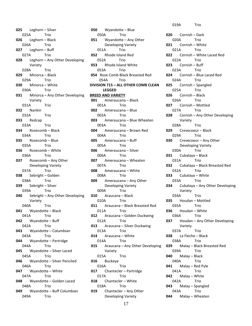**025** Leghorn – Silver 025A Trio **026** Leghorn – Black 026A Trio **027** Leghorn – Buff 027A Trio **028** Leghorn – Any Other Developing Variety 028A Trio **029** Minorca – Black 029A Trio **030** Minorca – White 030A Trio **031** Minorca – Any Other Developing Variety 031A Trio **032** Nankin 032A Trio **033** Redcap 033A Trio **034** Rosecomb – Black 034A Trio **035** Rosecomb – Blue 035A Trio **036** Rosecomb – White 036A Trio **037** Rosecomb – Any Other Developing Variety 037A Trio **038** Sebright – Golden 038A Trio **039** Sebright – Silver 039A Trio **040** Sebright – Any Other Developing Variety 040A Trio **041** Wyandotte – Black 041A Trio **042** Wyandotte – Buff 042A Trio **043** Wyandotte – Columbian 043A Trio **044** Wyandotte – Partridge 044A Trio **045** Wyandotte – Silver Laced 045A Trio **046** Wyandotte – Silver Penciled 046A Trio **047** Wyandotte – White 047A Trio **048** Wyandotte – Golden Laced 048A Trio **049** Wyandotte – Buff Columbian 049A Trio

**050** Wyandotte – Blue 050A Trio **051** Wyandotte – Any Other Developing Variety 051A Trio **052** Rhode Island Red 052A Trio **053** Rhode Island White 053A Trio **054** Rose Comb Black Breasted Red 054A Trio **DIVISION 715 – ALL OTHER COMB CLEAN LEGGED BREED AND VARIETY 001** Ameraucana – Black 001A Trio **002** Ameraucana – Blue 002A Trio **003** Ameraucana – Blue Wheaten 003A Trio **004** Ameraucana – Brown Red 004A Trio **005** Ameraucana – Buff 005A Trio **006** Ameraucana – Silver 006A Trio **007** Ameraucana – Wheaten 007A Trio **008** Ameraucana – White 008A Trio **009** Ameraucana – Any Other Developing Variety 009A Trio **010** Araucana – Black 010A Trio **011** Araucana – Black Breasted Red 011A Trio **012** Araucana – Golden Duckwing 012A Trio **013** Araucana – Silver Duckwing 013A Trio **014** Araucana – White 014A Trio **015** Araucana – Any Other Developing Variety 015A Trio **016** Buckeye 016A Trio **017** Chantecler – Partridge 017A Trio **018** Chantecler – White 018A Trio **019** Chantecler – Any Other Developing Variety

019A Trio **020** Cornish – Dark 020A Trio **021** Cornish – White 021A Trio **022** Cornish – White Laced Red 022A Trio **023** Cornish – Buff 023A Trio **024** Cornish – Blue Laced Red 024A Trio **025** Cornish – Spangled 025A Trio **026** Cornish – Black 026A Trio **027** Cornish – Mottled 027A Trio **028** Cornish – Any Other Developing Variety 028A Trio **029** Crevecoeur – Black 029A Trio **030** Crevecoeur – Any Other Developing Variety 030A Trio **031** Cubalaya – Black 031A Trio **032** Cubalaya – Black Breasted Red 032A Trio **033** Cubalaya – White 033A Trio **034** Cubalaya – Any Other Developing Variety 034A Trio **035** Houdan – Mottled 035A Trio **036** Houdan – White 036A Trio **037** Houdan – Any Other Developing Variety 037A Trio **038** La Fleche – Black 038A Trio **039** Malay – Black Breasted Red 039A Trio **040** Malay – Black 040A Trio **041** Malay – Red Pyle 041A Trio **042** Malay – White 042A Trio **043** Malay – Spangled 043A Trio **044** Malay – Wheaten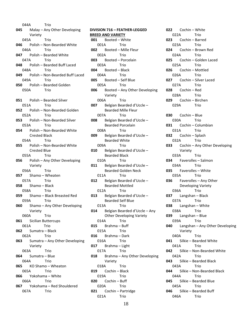044A Trio **045** Malay – Any Other Developing Variety 045A Trio **046** Polish – Non-Bearded White 046A Trio **047** Polish – Bearded White 047A Trio **048** Polish – Bearded Buff Laced 048A Trio **049** Polish – Non-Bearded Buff Laced 049A Trio **050** Polish – Bearded Golden 050A Trio **051** Polish – Bearded Silver 051A Trio **052** Polish – Non-Bearded Golden 052A Trio **053** Polish – Non-Bearded Silver 053A Trio **054** Polish – Non-Bearded White Crested Black 054A Trio **055** Polish – Non-Bearded White Crested Blue 055A Trio **056** Polish – Any Other Developing Variety 056A Trio **057** Shamo – Wheaten 057A Trio **058** Shamo – Black 058A Trio **059** Shamo – Black Breasted Red 059A Trio **060** Shamo – Any Other Developing Variety 060A Trio **061** Sicilian Buttercups 061A Trio **062** Sumatra – Black 062A Trio **063** Sumatra – Any Other Developing Variety 063A Trio **064** Sumatra – Blue 064A Trio **065** KO Shamo – Wheaton 065A Trio **066** Yokohama – White 066A Trio **067** Yokohama – Red Shouldered 067A Trio

**DIVISION 716 – FEATHER-LEGGED BREED AND VARIETY 001** Booted – White 001A Trio **002** Booted – Mille Fleur 002A Trio **003** Booted – Porcelain 003A Trio **004** Booted – Black 004A Trio **005** Booted – Self Blue 005A Trio **006** Booted – Any Other Developing Variety 006A Trio **007** Belgian Bearded d'Uccle – Bearded Mille Fleur 007A Trio **008** Belgian Bearded d'Uccle – Bearded Porcelain 008A Trio **009** Belgian Bearded d'Uccle – Bearded White 009A Trio **010** Belgian Bearded d'Uccle – Bearded Black 010A Trio **011** Belgian Bearded d'Uccle – Bearded Golden Neck 011A Trio **012** Belgian Bearded d'Uccle – Bearded Mottled 012A Trio **013** Belgian Bearded d'Uccle – Bearded Self Blue 013A Trio **014** Belgian Bearded d'Uccle – Any Other Developing Variety 014A Trio **015** Brahma – Buff 015A Trio **016** Brahma – Dark 016A Trio **017** Brahma – Light 017A Trio **018** Brahma – Any Other Developing Variety 018A Trio **019** Cochin – Black 019A Trio **020** Cochin – Buff 020A Trio **021** Cochin – Partridge 021A Trio

**022** Cochin – White 022A Trio **023** Cochin – Barred 023A Trio **024** Cochin – Brown Red 024A Trio **025** Cochin – Golden Laced 025A Trio **026** Cochin – Mottled 026A Trio **027** Cochin – Silver Laced 027A Trio **028** Cochin – Red 028A Trio **029** Cochin – Birchen 029A Trio **030** Cochin – Blue 030A Trio **031** Cochin – Columbian 031A Trio **032** Cochin – Splash 032A Trio **033** Cochin – Any Other Developing Variety 033A Trio **034** Faverolles – Salmon 034A Trio **035** Faverolles – White 035A Trio **036** Faverolles – Any Other Developing Variety 036A Trio **037** Langshan – Black 037A Trio **038** Langshan – White 038A Trio **039** Langshan – Blue 039A Trio **040** Langshan – Any Other Developing Variety 040A Trio **041** Silkie – Bearded White 041A Trio **042** Silkie – Non-Bearded White 042A Trio **043** Silkie – Bearded Black 043A Trio **044** Silkie – Non-Bearded Black 044A Trio **045** Silkie – Bearded Blue 045A Trio **046** Silkie – Bearded Buff 046A Trio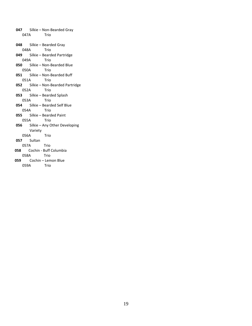**047** Silkie – Non-Bearded Gray 047A Trio **048** Silkie – Bearded Gray 048A Trio **049** Silkie – Bearded Partridge 049A Trio **050** Silkie – Non-Bearded Blue 050A Trio **051** Silkie – Non-Bearded Buff 051A Trio **052** Silkie – Non-Bearded Partridge 052A Trio **053** Silkie – Bearded Splash 053A Trio **054** Silkie – Bearded Self Blue 054A Trio **055** Silkie – Bearded Paint 055A Trio **056** Silkie – Any Other Developing Variety 056A Trio **057** Sultan 057A Trio **058** Cochin - Buff Columbia 058A Trio **059** Cochin – Lemon Blue 059A Trio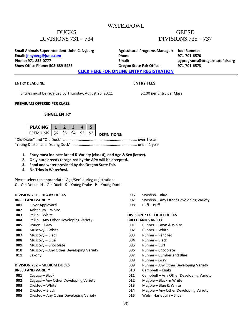### WATERFOWL

### DUCKS DIVISIONS 731 – 734

### **GEESE** DIVISIONS 735 – 737

**Small Animals Superintendent: John C. Nyberg <b>Agricultural Programs Manager:** Jodi Rametes **Email: [jnnyberg@juno.com](mailto:jnnyberg@juno.com) Phone: 971-701-6570 Phone: 971-832-0777 Email: agprograms@oregonstatefair.org Show Office Phone: 503-689-5483 Oregon State Fair Office: 971-701-6573**

**[CLICK HERE FOR ONLINE ENTRY REGISTRATION](http://oregona.fairwire.com/)**

#### **ENTRY DEADLINE: ENTRY FEES:**

Entries must be received by Thursday, August 25, 2022. \$2.00 per Entry per Class

#### **PREMIUMS OFFERED PER CLASS:**

#### **SINGLE ENTRY**

| <b>PLACING</b>     |  |  |                     |
|--------------------|--|--|---------------------|
| PREMIUMS   S6   S5 |  |  | <b>DEFINITIONS:</b> |

"Old Drake" and "Old Duck" ....................................................................... over 1 year "Young Drake" and "Young Duck" .............................................................. under 1 year

- **1. Entry must indicate Breed & Variety (class #), and Age & Sex (letter).**
- **2. Only pure breeds recognized by the APA will be accepted.**
- **3. Food and water provided by the Oregon State Fair.**
- **4. No Trios in Waterfowl.**

Please select the appropriate "Age/Sex" during registration: **C** – Old Drake **H** – Old Duck **K** – Young Drake **P** – Young Duck

#### **DIVISION 731 – HEAVY DUCKS BREED AND VARIETY**

- **001** Silver Appleyard
- **002** Aylesbury White
- **003** Pekin White
- **004** Pekin Any Other Developing Variety
- **005** Rouen Gray
- **006** Muscovy White
- **007** Muscovy Black
- **008** Muscovy Blue
- **009** Muscovy Chocolate
- **010** Muscovy Any Other Developing Variety
- **011** Saxony

#### **DIVISION 732 – MEDIUM DUCKS**

#### **BREED AND VARIETY**

| 001 | Cayuga – Black                         |
|-----|----------------------------------------|
| 002 | Cayuga – Any Other Developing Variety  |
| 003 | Crested - White                        |
| 004 | Crested - Black                        |
| 005 | Crested – Any Other Developing Variety |
|     |                                        |

**006** Swedish – Blue **007** Swedish – Any Other Developing Variety

**008** Buff – Buff

### **DIVISION 733 – LIGHT DUCKS**

### **BREED AND VARIETY**

- **001** Runner Fawn & White
- **002** Runner White
- **003** Runner Penciled
- **004** Runner Black
- **005** Runner Buff
- **006** Runner Chocolate
- **007** Runner Cumberland Blue
- **008** Runner Gray
- **009** Runner Any Other Developing Variety
- **010** Campbell Khaki
- **011** Campbell Any Other Developing Variety
- **012** Magpie Black & White
- **013** Magpie Blue & White
- **014** Magpie Any Other Developing Variety
- **015** Welsh Harlequin Silver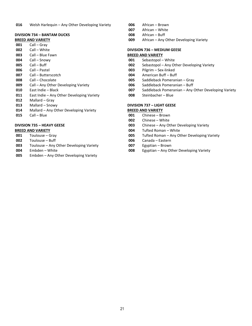#### **DIVISION 734 – BANTAM DUCKS**

#### **BREED AND VARIETY**

- Call Gray
- Call White
- Call Blue Fawn
- Call Snowy
- Call Buff
- Call Pastel
- Call Butterscotch
- Call Chocolate
- Call Any Other Developing Variety
- East Indie Black
- East Indie Any Other Developing Variety
- Mallard Gray
- Mallard Snowy
- Mallard Any Other Developing Variety
- Call Blue

#### **DIVISION 735 – HEAVY GEESE**

#### **BREED AND VARIETY**

- Toulouse Gray
- Toulouse Buff
- Toulouse Any Other Developing Variety
- Embden White
- Embden Any Other Developing Variety
- African Brown
- African White
- African Buff
- African Any Other Developing Variety

#### **DIVISION 736 – MEDIUM GEESE BREED AND VARIETY**

- Sebastopol White
- Sebastopol Any Other Developing Variety
- Pilgrim Sex-linked
- American Buff Buff
- Saddleback Pomeranian Gray
- Saddleback Pomeranian Buff
- Saddleback Pomeranian Any Other Developing Variety
- Steinbacher Blue

#### **DIVISION 737 – LIGHT GEESE**

#### **BREED AND VARIETY**

- Chinese Brown
- Chinese White
- Chinese Any Other Developing Variety
- Tufted Roman White
- Tufted Roman Any Other Developing Variety
- Canada Eastern
- Egyptian Brown
- Egyptian Any Other Developing Variety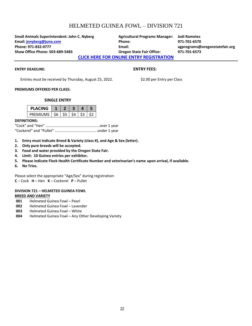# HELMETED GUINEA FOWL – DIVISION 721

**Small Animals Superintendent: John C. Nyberg Agricultural Programs Manager: Jodi Rametes Email: [jnnyberg@juno.com](mailto:jnnyberg@juno.com) Phone: 971-701-6570 Phone: 971-832-0777 Email: agprograms@oregonstatefair.org Show Office Phone: 503-689-5483 Oregon State Fair Office: 971-701-6573**

**[CLICK HERE FOR ONLINE](http://oregona.fairwire.com/) ENTRY REGISTRATION**

#### **ENTRY DEADLINE: ENTRY FEES:**

Entries must be received by Thursday, August 25, 2022. \$2.00 per Entry per Class

#### **PREMIUMS OFFERED PER CLASS:**

#### **SINGLE ENTRY**

| <b>PLACING</b>             |  |  |  |
|----------------------------|--|--|--|
| PREMIUMS   \$6   \$5   \$4 |  |  |  |

#### **DEFINITIONS:**

- **1. Entry must indicate Breed & Variety (class #), and Age & Sex (letter).**
- **2. Only pure breeds will be accepted.**
- **3. Food and water provided by the Oregon State Fair.**
- **4. Limit: 10 Guinea entries per exhibitor.**
- **5. Please indicate Flock Health Certificate Number and veterinarian's name upon arrival, if available.**
- **6. No Trios.**

Please select the appropriate "Age/Sex" during registration: **C** – Cock **H** – Hen **K** – Cockerel **P** – Pullet

#### **DIVISION 721 – HELMETED GUINEA FOWL BREED AND VARIETY**

- **001** Helmeted Guinea Fowl Pearl
- **002** Helmeted Guinea Fowl Lavender
- **003** Helmeted Guinea Fowl White
- **004** Helmeted Guinea Fowl Any Other Developing Variety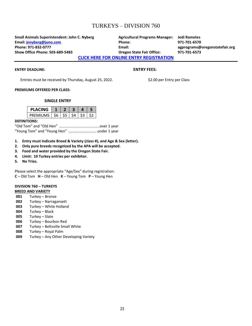### TURKEYS – DIVISION 760

**Small Animals Superintendent: John C. Nyberg Agricultural Programs Manager: Jodi Rametes Email: [jnnyberg@juno.com](mailto:jnnyberg@juno.com) Phone: 971-701-6570 Phone: 971-832-0777 Email: agprograms@oregonstatefair.org Show Office Phone: 503-689-5483 Oregon State Fair Office: 971-701-6573**

**[CLICK HERE FOR ONLINE ENTRY REGISTRATION](http://oregona.fairwire.com/)**

#### **ENTRY DEADLINE: ENTRY FEES:**

Entries must be received by Thursday, August 25, 2022. \$2.00 per Entry per Class

#### **PREMIUMS OFFERED PER CLASS:**

#### **SINGLE ENTRY**

| PLACING                    |  |     |  |
|----------------------------|--|-----|--|
| PREMIUMS   \$6   \$5   \$4 |  | -53 |  |

#### **DEFINITIONS:**

"Old Tom" and "Old Hen" .......................................over 1 year "Young Tom" and "Young Hen" ........................... under 1 year

- **1. Entry must indicate Breed & Variety (class #), and Age & Sex (letter).**
- **2. Only pure breeds recognized by the APA will be accepted.**
- **3. Food and water provided by the Oregon State Fair.**
- **4. Limit: 10 Turkey entries per exhibitor.**
- **5. No Trios.**

Please select the appropriate "Age/Sex" during registration: **C** – Old Tom **H** – Old Hen **K** – Young Tom **P** – Young Hen

# **DIVISION 760 – TURKEYS**

### **BREED AND VARIETY**

- **001** Turkey Bronze
- **002** Turkey Narragansett
- **003** Turkey White Holland
- **004** Turkey Black
- **005** Turkey Slate
- **006** Turkey Bourbon Red
- **007** Turkey Beltsville Small White
- **008** Turkey Royal Palm
- **009** Turkey Any Other Developing Variety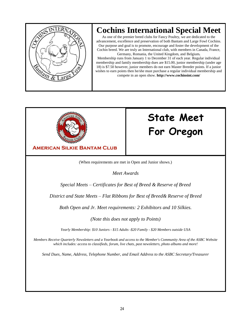

# **Cochins International Special Meet**

As one of the premier breed clubs for Fancy Poultry, we are dedicated to the advancement, excellence and preservation of both Bantam and Large Fowl Cochins. Our purpose and goal is to promote, encourage and foster the development of the Cochin breed. We are truly an International club, with members in Canada, France,

Germany, Romania, the United Kingdom, and Belgium**.** Membership runs from January 1 to December 31 of each year. Regular individual membership and family membership dues are \$15.00, junior membership (under age 18) is \$7.50 however, junior members do not earn Master Breeder points. If a junior wishes to earn points then he/she must purchase a regular individual membership and compete in an open show. **http://www.cochinsint.com/**



# **State Meet For Oregon**

**AMERICAN SILKIE BANTAM CLUB BEST OF BREED** AND **RESERVE OF BREED**

(When requirements are met in Open and Junior shows.)

*Meet Awards*

*Special Meets – Certificates for Best of Breed & Reserve of Breed*

*District and State Meets – Flat Ribbons for Best of Breed& Reserve of Breed*

*Both Open and Jr. Meet requirements: 2 Exhibitors and 10 Silkies.*

*(Note this does not apply to Points)*

*Yearly Membership: \$10 Juniors - \$15 Adults -\$20 Family - \$20 Members outside USA*

*Members Receive Quarterly Newsletters and a Yearbook and access to the Member's Community Area of the ASBC Website which includes: access to classifieds, forum, live chats, past newsletters, photo albums and more!*

*Send Dues, Name, Address, Telephone Number, and Email Address to the ASBC Secretary/Treasurer*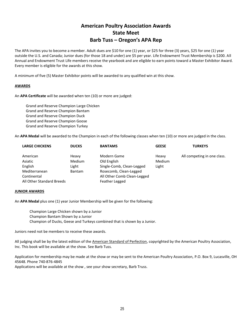### **American Poultry Association Awards State Meet Barb Tuss – Oregon's APA Rep**

The APA invites you to become a member. Adult dues are \$10 for one (1) year, or \$25 for three (3) years, \$25 for one (1) year outside the U.S. and Canada; Junior dues (for those 18 and under) are \$5 per year. Life Endowment Trust Membership is \$200. All Annual and Endowment Trust Life members receive the yearbook and are eligible to earn points toward a Master Exhibitor Award. Every member is eligible for the awards at this show.

A minimum of five (5) Master Exhibitor points will be awarded to any qualified win at this show.

#### **AWARDS**

An **APA Certificate** will be awarded when ten (10) or more are judged:

Grand and Reserve Champion Large Chicken Grand and Reserve Champion Bantam Grand and Reserve Champion Duck Grand and Reserve Champion Goose Grand and Reserve Champion Turkey

An **APA Medal** will be awarded to the Champion in each of the following classes when ten (10) or more are judged in the class.

| <b>LARGE CHICKENS</b>     | <b>DUCKS</b>  | <b>BANTAMS</b>              | <b>GEESE</b> | <b>TURKEYS</b>              |
|---------------------------|---------------|-----------------------------|--------------|-----------------------------|
| American                  | Heavy         | Modern Game                 | Heavy        | All competing in one class. |
| Asiatic                   | Medium        | Old English                 | Medium       |                             |
| English                   | Light         | Single-Comb, Clean-Legged   | Light        |                             |
| Mediterranean             | <b>Bantam</b> | Rosecomb, Clean-Legged      |              |                             |
| Continental               |               | All Other Comb Clean-Legged |              |                             |
| All Other Standard Breeds |               | Feather Legged              |              |                             |

#### **JUNIOR AWARDS**

An **APA Medal** plus one (1) year Junior Membership will be given for the following:

Champion Large Chicken shown by a Junior Champion Bantam Shown by a Junior Champion of Ducks, Geese and Turkeys combined that is shown by a Junior.

Juniors need not be members to receive these awards.

All judging shall be by the latest edition of the American Standard of Perfection, copyrighted by the American Poultry Association, Inc. This book will be available at the show. See Barb Tuss.

Application for membership may be made at the show or may be sent to the American Poultry Association, P.O. Box 9, Lucasville, OH 45648. Phone 740-876-4845

Applications will be available at the show , see your show secretary, Barb Truss.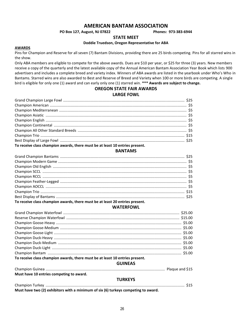### **AMERICAN BANTAM ASSOCIATION**

#### **PO Box 127, August, NJ 07822 Phones: 973-383-6944**

**STATE MEET**

#### **Doddie Truedson, Oregon Representative for ABA**

#### **AWARDS**

Pins for Champion and Reserve for all seven (7) Bantam Divisions, providing there are 25 birds competing. Pins for all starred wins in the show.

Only ABA members are eligible to compete for the above awards. Dues are \$10 per year, or \$25 for three (3) years. New members receive a copy of the quarterly and the latest available copy of the Annual American Bantam Association Year Book which lists 900 advertisers and includes a complete breed and variety index. Winners of ABA awards are listed in the yearbook under Who's Who in Bantams. Starred wins are also awarded to Best and Reserve of Breed and Variety when 100 or more birds are competing. A single bird is eligible for only one (1) award and can early only one (1) starred win. **\*\*\* Awards are subject to change.**

### **OREGON STATE FAIR AWARDS**

#### **LARGE FOWL**

| To receive class champion awards, there must be at least 10 entries present. |  |
|------------------------------------------------------------------------------|--|

#### **BANTAMS**

| To receive class champion awards, there must be at least 20 entries present. |  |
|------------------------------------------------------------------------------|--|

#### **WATERFOWL**

| To receive class champion awards, there must be at least 10 entries present. |  |
|------------------------------------------------------------------------------|--|

### **GUINEAS**

| Must have 10 entries competing to award.                                           |  |
|------------------------------------------------------------------------------------|--|
| <b>TURKEYS</b>                                                                     |  |
|                                                                                    |  |
| Must have two (2) exhibitors with a minimum of six (6) turkeys competing to award. |  |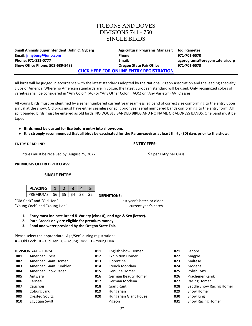### PIGEONS AND DOVES DIVISIONS 741 - 750 SINGLE BIRDS

| <b>Small Animals Superintendent: John C. Nyberg</b> | <b>Agricultural Programs Manager:</b>           | Jodi Rametes                   |
|-----------------------------------------------------|-------------------------------------------------|--------------------------------|
| Email: <i>jnnyberg@juno.com</i>                     | Phone:                                          | 971-701-6570                   |
| Phone: 971-832-0777                                 | Email:                                          | agprograms@oregonstatefair.org |
| <b>Show Office Phone: 503-689-5483</b>              | <b>Oregon State Fair Office:</b>                | 971-701-6573                   |
|                                                     | <b>CLICK HERE FOR ONLINE ENTRY REGISTRATION</b> |                                |

All birds will be judged in accordance with the latest standards adopted by the National Pigeon Association and the leading specialty clubs of America. Where no American standards are in vogue, the latest European standard will be used. Only recognized colors of varieties shall be considered in "Any Color" (AC) or "Any Other Color" (AOC) or "Any Variety" (AV) Classes.

All young birds must be identified by a serial numbered current year seamless leg band of correct size conforming to the entry upon arrival at the show. Old birds must have either seamless or split prior year serial numbered bands conforming to the entry form. All split banded birds must be entered as old birds. NO DOUBLE BANDED BIRDS AND NO NAME OR ADDRESS BANDS. One band must be taped.

- **● Birds must be dusted for lice before entry into showroom.**
- **● It is strongly recommended that all birds be vaccinated for the Paramyxovirus at least thirty (30) days prior to the show.**

#### **ENTRY DEADLINE: ENTRY FEES:**

Entries must be received by August 25, 2022. \$2 per Entry per Class

**PREMIUMS OFFERED PER CLASS:**

#### **SINGLE ENTRY**

| <b>PLACING</b> |             |      |  |                     |
|----------------|-------------|------|--|---------------------|
| PRFMIUMS       | $56$   $55$ | - S4 |  | <b>DEFINITIONS:</b> |

"Old Cock" and "Old Hen" ........................................................... last year's hatch or older "Young Cock" and "Young Hen" ......................................................... current year's hatch

- **1. Entry must indicate Breed & Variety (class #), and Age & Sex (letter).**
- **2. Pure Breeds only are eligible for premium money.**
- **3. Food and water provided by the Oregon State Fair.**

Please select the appropriate "Age/Sex" during registration: **A** – Old Cock **B** – Old Hen **C** – Young Cock **D** – Young Hen

|     | <b>DIVISION 741 - FORM</b> | 011 | <b>English Show Homer</b> | 021 | Lahore                   |
|-----|----------------------------|-----|---------------------------|-----|--------------------------|
| 001 | <b>American Crest</b>      | 012 | <b>Exhibition Homer</b>   | 022 | Magpie                   |
| 002 | American Giant Homer       | 013 | Florentine                | 023 | Maltese                  |
| 003 | American Giant Rumbler     | 014 | French Mondain            | 024 | Modena                   |
| 004 | American Show Racer        | 015 | Genuine Homer             | 025 | Polish Lynx              |
| 005 | Antwerp                    | 016 | German Beauty Homer       | 026 | Prachener Kanik          |
| 006 | Carneau                    | 017 | German Modena             | 027 | Racing Homer             |
| 007 | Cauchois                   | 018 | <b>Giant Runt</b>         | 028 | Saddle Show Racing Homer |
| 008 | Coburg Lark                | 019 | Hungarian                 | 029 | Show Homer               |
| 009 | <b>Crested Soultz</b>      | 020 | Hungarian Giant House     | 030 | Show King                |
| 010 | Egyptian Swift             |     | Pigeon                    | 031 | Show Racing Homer        |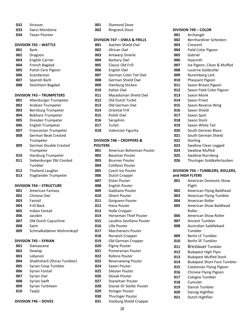- Strasser
- Swiss Mondaine
- Texan Pioneer

#### **DIVISION 742 – WATTLE**

|     | <b>DIVISION 742 - WATTLE</b>     |
|-----|----------------------------------|
| 001 | Barb                             |
| 002 | Dragoon                          |
| 003 | <b>English Carrier</b>           |
| 004 | French Bagdad                    |
| 005 | Polish Cere Pigeon               |
| 006 | Scandaroon                       |
| 007 | Spanish Barb                     |
| 008 | Steinhiem Bagdad                 |
|     | <b>DIVISION 743 - TRUMPETERS</b> |
| 001 | Altenburger Trumpeter            |
| 002 | Arabian Trumpeter                |
| 003 | Bernburg Trumpeter               |
| 004 | <b>Bokhara Trumpeter</b>         |
| 005 | Dresden Trumpeter                |
| 006 | <b>English Trumpeter</b>         |
| 007 | Franconian Trumpeter             |
| 008 | <b>German Beak Crested</b>       |
|     | Trumpeter                        |
| 009 | <b>German Double Crested</b>     |
|     | Trumpeter                        |
| 010 | Harzburg Trumpeter               |
| 011 | Siebenburger Dbl Crested         |
|     | Tumbler                          |
| 012 | <b>Thailand Laugher</b>          |
| 013 | Vogtlander Trumpeter             |

## **DIVISION 744 – STRUCTURE**

| 001 | American Fantasy          |
|-----|---------------------------|
| 002 | Chinese Owl               |
| 003 | Fantail                   |
| 004 | Frill Back                |
| 005 | Indian Fantail            |
| 006 | Jacobin                   |
| 007 | Old Dutch Capuchine       |
| 008 | Saint                     |
| 009 | Schmalkaldener Mohrenkopf |
|     |                           |

#### **DIVISION 745 – SYRIAN**

| 001 | Damascene                    |
|-----|------------------------------|
| 002 | Dewlap                       |
| 003 | I ebanon                     |
| 004 | Shakhsharli (Shiraz Tumbler) |
| 005 | Syrian Coop Tumbler          |
| 006 | Syrian Fantail               |
| 007 | Syrian Owl                   |
| 008 | Syrian Swift                 |
| 009 | Syrian Turbiteen             |
| 010 | Tagliji                      |
|     |                              |

**DIVISION 746 – DOVES**

| 001            | <b>Diamond Dove</b>                      |
|----------------|------------------------------------------|
| 002            | <b>Ringneck Dove</b>                     |
|                | <b>DIVISION 747 - OWLS &amp; FRILLS</b>  |
| 001            | Aachen Shield Owl                        |
| 002            | African Owl                              |
| 003            | Antwerp Smerle                           |
| 004            | <b>Barbary Owl</b>                       |
| 005            | Classic Old Frill                        |
| 006            | English Owl                              |
| 007            | German Color Tail Owl                    |
| 008            | German Shield Owl                        |
| 009            | Hamburg Sticken                          |
| 010            | Italian Owl                              |
| 011            | Macedonian Shield Owl                    |
| 012            | <b>Old Dutch Turbit</b>                  |
| 013            | Old German Owl                           |
| 014            | Oriental Frill                           |
| 015            | Polish Owl                               |
| 016            | Seraphim                                 |
| 017            | Turbit                                   |
| 018            | Valencian Figurita                       |
|                |                                          |
|                | DIVISION 748 - CROPPERS &                |
| <b>POUTERS</b> |                                          |
| 001            | American Bohemian Pou                    |
| 002            | <b>Bavarian Pouter</b>                   |
| 003            | <b>Brunner Pouter</b>                    |
| 004            | Colillano Pouter                         |
| 005            | <b>Czech Ice Pouter</b>                  |
| 006            | Dutch Cropper                            |
| 007<br>008     | <b>Elster Pouter</b>                     |
| 009            | <b>English Pouter</b><br>Gaditano Pouter |
| 010            | <b>Ghent Pouter</b>                      |
| 011            | Gorguero Pouter                          |
| 012            | Hana Pouter                              |
| 013            | <b>Holle Cropper</b>                     |
| 014            | Horseman Thief Pouter                    |
| 015            | Laudino Sevillano Pouter                 |
| 016            | Lille Pouter                             |
| 017            | Marchenero Pouter                        |
| 018            | Norwich Cropper                          |
| 019            | Old German Cropper                       |
| 020            | Pigmy Pouter                             |
| 021            | Pomeranian Pouter                        |
| 022            | Rafeno Pouter                            |
| 023            | <b>Reversewing Pouter</b>                |
| 024            | Saxon Pouter                             |
| 025            | Silesian Pouter                          |
| 026            | <b>Slovak Pouter</b>                     |
| 027            | <b>Starwitzer Pouter</b>                 |
| 028            | Stavak Or Stellar Pouter                 |
|                |                                          |

| 001 | American Bohemian Pouter     |
|-----|------------------------------|
| 002 | Bavarian Pouter              |
| 003 | <b>Brunner Pouter</b>        |
| 004 | Colillano Pouter             |
| 005 | <b>Czech Ice Pouter</b>      |
| 006 | Dutch Cropper                |
| 007 | <b>Elster Pouter</b>         |
| 008 | English Pouter               |
| 009 | Gaditano Pouter              |
| 010 | <b>Ghent Pouter</b>          |
| 011 | Gorguero Pouter              |
| 012 | Hana Pouter                  |
| 013 | Holle Cropper                |
| 014 | <b>Horseman Thief Pouter</b> |
| 015 | Laudino Sevillano Pouter     |
| 016 | Lille Pouter                 |
| 017 | Marchenero Pouter            |
| 018 | Norwich Cropper              |
| 019 | Old German Cropper           |
| 020 | Pigmy Pouter                 |
| 021 | Pomeranian Pouter            |
| 022 | Rafeno Pouter                |
| 023 | <b>Reversewing Pouter</b>    |
| 024 | Saxon Pouter                 |
| 025 | Silesian Pouter              |
| 026 | Slovak Pouter                |
| 027 | Starwitzer Pouter            |
| 028 | Stavak Or Stellar Pouter     |
| 029 | Streiger Pouter              |
| 030 | <b>Thuringer Pouter</b>      |

| Vooburg Shield Cropper |
|------------------------|
|                        |

| 001 | Archangel                  |
|-----|----------------------------|
| 002 | Bernhardiner Schecken      |
| 003 | Crescent                   |
| 004 | Field Color Pigeon         |
| 005 | Gabriel                    |
| 006 | Hyacinth                   |
| 007 | Ice Pigeon, Clean & Muffed |
| 008 | Lucerne Goldcollar         |
| 009 | Nuremberg Lark             |
| 010 | Pheasant Pigeon            |
| 011 | Saxon Breast Pigeon        |
| 012 | Saxon Field Color Pigeon   |
| 013 | Saxon Monk                 |
| 014 | Saxon Priest               |
| 015 | Saxon Reverse Wing         |
| 016 | Saxon Shield               |
| 017 | Saxon Spot                 |
| 018 | Saxon Stork                |
| 019 | Saxon White Tail           |
| 020 | South German Blaze         |
| 021 | South German Shield        |
| 022 | <b>Starling</b>            |
| 023 | Swallow Clean Legged       |
| 024 | Swallow Muffed             |
| 025 | <b>Swallow Nurnberg</b>    |
| 026 | Thuringer Goldkafertauben  |

#### **DIVISION 750 – TUMBLERS, ROLLERS, and HIGH FLYERS**

| 001 | American Domestic Show<br>Flight   |
|-----|------------------------------------|
| 002 | American Flying Baldhead           |
| 003 | American Flying Tumbler            |
| 004 | American Roller                    |
| 005 | American Show Baldhead             |
|     | Roller                             |
| 006 | American Show Roller               |
| 007 | <b>Ancient Tumbler</b>             |
| 008 | Australian Saddleback              |
|     | Tumbler                            |
| 009 | <b>Berlin LF Tumbler</b>           |
| 010 | <b>Berlin SF Tumbler</b>           |
| 011 | <b>Breslauer Tumbler</b>           |
| 012 | <b>Budapest High Flyer</b>         |
| 013 | <b>Budapest Muffed Stork</b>       |
| 014 | <b>Budapest Short Face Tumbler</b> |
| 015 | Catalonian Flying Pigeon           |
| 016 | Chinese Flying Pigeon              |
| 017 | Cologne Tumbler                    |
| 018 | Cumulet                            |
| 019 | Danish Tumbler                     |
| 020 | Danzig Highflier                   |
| 021 | Dutch Highflier                    |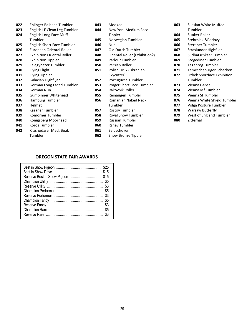| 022 | Eblinger Balhead Tumbler          | 043 | Mookee                        |
|-----|-----------------------------------|-----|-------------------------------|
| 023 | English LF Clean Leg Tumbler      | 044 | New York Medium Face          |
| 024 | English Long Face Muff            |     | Tippler                       |
|     | Tumbler                           | 045 | Norwegian Tumbler             |
| 025 | English Short Face Tumbler        | 046 | Nun                           |
| 026 | European Oriental Roller          | 047 | Old Dutch Tumbler             |
| 027 | <b>Exhibition Oriental Roller</b> | 048 | Oriental Roller (Exhibition?) |
| 028 | <b>Exhibition Tippler</b>         | 049 | Parlour Tumbler               |
| 029 | Felegyhazer Tumbler               | 050 | Persian Roller                |
| 030 | <b>Flying Flight</b>              | 051 | Polish Orlik (Ukranian        |
| 031 | <b>Flying Tippler</b>             |     | Skycutter)                    |
| 032 | Galacian Highflyer                | 052 | Portuguese Tumbler            |
| 033 | German Long Faced Tumbler         | 053 | Prager Short Face Tumbler     |
| 034 | German Nun                        | 054 | Rakovnik Roller               |
| 035 | Gumbinner Whitehead               | 055 | Reinaugen Tumbler             |
| 036 | Hamburg Tumbler                   | 056 | Romanian Naked Neck           |
| 037 | Helmet                            |     | Tumbler                       |
| 038 | Kazaner Tumbler                   | 057 | <b>Rostov Tumbler</b>         |
| 039 | Komorner Tumbler                  | 058 | Royal Snow Tumbler            |
| 040 | Konigsberg Moorhead               | 059 | <b>Russian Tumbler</b>        |
| 041 | Koros Tumbler                     | 060 | <b>Rzhev Tumbler</b>          |
| 042 | Krasnodarer Med. Beak             | 061 | Seldschuken                   |
|     | Tumbler                           | 062 | Show Bronze Tippler           |

| 063 | Silesian White Muffed       |
|-----|-----------------------------|
|     | Tumbler                     |
| 064 | Sisaker Roller              |
| 065 | Srebrniak &Perlovy          |
| 066 | Stettiner Tumbler           |
| 067 | Straslunder Highflier       |
| 068 | Sudbatschkaer Tumbler       |
| 069 | Szegediner Tumbler          |
| 070 | Taganrog Tumbler            |
| 071 | Temescheburger Schecken     |
| 072 | Uzbek Shortface Exhibition  |
|     | Tumbler                     |
| 073 | Vienna Gansel               |
| 074 | Vienna Mf Tumbler           |
| 075 | Vienna Sf Tumbler           |
| 076 | Vienna White Shield Tumbler |
| 077 | Volga Posture Tumbler       |
| 078 | Warsaw Butterfly            |
| 079 | West of England Tumbler     |
| 080 | Zitterhal                   |

### **OREGON STATE FAIR AWARDS**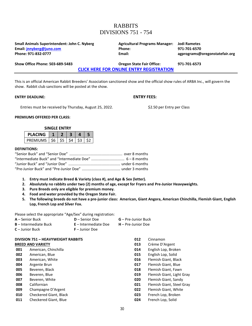# RABBITS DIVISIONS 751 - 754

| Small Animals Superintendent: John C. Nyberg | <b>Agricultural Programs Manager:</b>           | <b>Jodi Rametes</b>            |
|----------------------------------------------|-------------------------------------------------|--------------------------------|
| Email: jnnyberg@juno.com                     | <b>Phone:</b>                                   | 971-701-6570                   |
| Phone: 971-832-0777                          | Email:                                          | agprograms@oregonstatefair.org |
| Show Office Phone: 503-689-5483              | <b>Oregon State Fair Office:</b>                | 971-701-6573                   |
|                                              | <b>CLICK HERE FOR ONLINE ENTRY REGISTRATION</b> |                                |

This is an official American Rabbit Breeders' Association sanctioned show and the official show rules of ARBA Inc., will govern the show. Rabbit club sanctions will be posted at the show.

#### **ENTRY DEADLINE: ENTRY FEES:**

Entries must be received by Thursday, August 25, 2022. \$2.50 per Entry per Class

#### **PREMIUMS OFFERED PER CLASS:**

#### **SINGLE ENTRY**

| PΙΔ<br><b>ICING</b> |        |  |  |
|---------------------|--------|--|--|
| PREMIUMS            | - S6 L |  |  |

#### **DEFINITIONS:**

- **1. Entry must indicate Breed & Variety (class #), and Age & Sex (letter).**
- **2. Absolutely no rabbits under two (2) months of age, except for Fryers and Pre-Junior Heavyweights.**
- **3. Pure Breeds only are eligible for premium money.**
- **4. Food and water provided by the Oregon State Fair.**
- **5. The following breeds do not have a pre-junior class: American, Giant Angora, American Chinchilla, Flemish Giant, English Lop, French Lop and Silver Fox.**

Please select the appropriate "Age/Sex" during registration:

| <b>A</b> – Senior Buck       | $D -$ Senior Doe     | <b>G</b> – Pre-Junior Buck |
|------------------------------|----------------------|----------------------------|
| <b>B</b> – Intermediate Buck | E – Intermediate Doe | $H$ – Pre-Junior Doe       |
| $C -$ Junior Buck            | $F -$ Junior Doe     |                            |

| <b>DIVISION 751 - HEAVYWEIGHT RABBITS</b> |                        | 012 | Cinnamon                  |
|-------------------------------------------|------------------------|-----|---------------------------|
| <b>BREED AND VARIETY</b>                  |                        | 013 | Crème D'Argent            |
| 001                                       | American, Chinchilla   | 014 | English Lop, Broken       |
| 002                                       | American, Blue         | 015 | English Lop, Solid        |
| 003                                       | American, White        | 016 | Flemish Giant, Black      |
| 004                                       | Argente Brun           | 017 | Flemish Giant, Blue       |
| 005                                       | Beveren, Black         | 018 | Flemish Giant, Fawn       |
| 006                                       | Beveren, Blue          | 019 | Flemish Giant, Light Gray |
| 007                                       | Beveren, White         | 020 | Flemish Giant, Sandy      |
| 008                                       | Californian            | 021 | Flemish Giant, Steel Gray |
| 009                                       | Champagne D'Argent     | 022 | Flemish Giant, White      |
| 010                                       | Checkered Giant, Black | 023 | French Lop, Broken        |
| 011                                       | Checkered Giant, Blue  | 024 | French Lop, Solid         |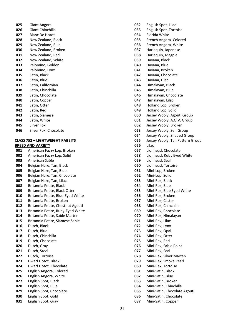- Giant Angora Giant Chinchilla Blanc De Hotot New Zealand, Black New Zealand, Blue New Zealand, Broken New Zealand, Red New Zealand, White Palomino, Golden Palomino, Lynx Satin, Black Satin, Blue Satin, Californian Satin, Chinchilla Satin, Chocolate Satin, Copper Satin, Otter Satin, Red Satin, Siamese Satin, White
- Silver Fox
- Silver Fox, Chocolate

#### **CLASS 752 – LIGHTWEIGHT RABBITS BREED AND VARIETY**

 American Fuzzy Lop, Broken American Fuzzy Lop, Solid American Sable Belgian Hare, Tan, Black Belgian Hare, Tan, Blue Belgian Hare, Tan, Chocolate Belgian Hare, Tan, Lilac Britannia Petite, Black Britannia Petite, Black Otter Britannia Petite, Blue-Eyed White Britannia Petite, Broken Britannia Petite, Chestnut Agouti Britannia Petite, Ruby-Eyed White Britannia Petite, Sable Marten Britannia Petite, Siamese Sable Dutch, Black Dutch, Blue Dutch, Chinchilla Dutch, Chocolate Dutch, Gray Dutch, Steel Dutch, Tortoise Dwarf Hotot, Black Dwarf Hotot, Chocolate English Angora, Colored English Angora, White English Spot, Black English Spot, Blue English Spot, Chocolate English Spot, Gold English Spot, Gray

 English Spot, Lilac English Spot, Tortoise Florida White French Angora, Colored French Angora, White Harlequin, Japanese Harlequin, Magpie Havana, Black Havana, Blue Havana, Broken Havana, Chocolate Havana, Lilac Himalayan, Black Himalayan, Blue Himalayan, Chocolate Himalayan, Lilac Holland Lop, Broken Holland Lop, Solid Jersey Wooly, Agouti Group Jersey Wooly, A.O.V. Group Jersey Wooly, Broken Jersey Wooly, Self Group Jersey Wooly, Shaded Group Jersey Wooly, Tan Pattern Group Lilac Lionhead, Chocolate Lionhead, Ruby Eyed White Lionhead, Seal Lionhead, Tortoise Mini-Lop, Broken Mini-Lop, Solid Mini-Rex, Black Mini-Rex, Blue Mini-Rex, Blue Eyed White Mini-Rex, Broken Mini-Rex, Castor Mini-Rex, Chinchilla Mini-Rex, Chocolate Mini-Rex, Himalayan Mini-Rex, Lilac Mini-Rex, Lynx Mini-Rex, Opal Mini-Rex, Otter Mini-Rex, Red Mini-Rex, Sable Point Mini-Rex, Seal Mini-Rex, Silver Marten Mini-Rex, Smoke Pearl Mini-Rex, Tortoise Mini-Satin, Black Mini-Satin, Blue Mini-Satin, Broken Mini-Satin, Chinchilla Mini-Satin, Chocolate Agouti Mini-Satin, Chocolate Mini-Satin, Copper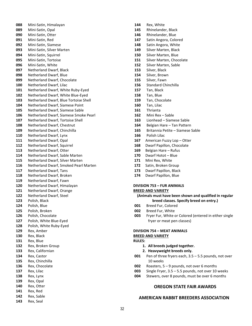Mini-Satin, Himalayan Mini-Satin, Opal Mini-Satin, Otter Mini-Satin, Red Mini-Satin, Siamese Mini-Satin, Silver Marten Mini-Satin, Squirrel Mini-Satin, Tortoise Mini-Satin, White Netherland Dwarf, Black Netherland Dwarf, Blue Netherland Dwarf, Chocolate Netherland Dwarf, Lilac Netherland Dwarf, White Ruby-Eyed Netherland Dwarf, White Blue-Eyed Netherland Dwarf, Blue Tortoise Shell Netherland Dwarf, Siamese Point Netherland Dwarf, Siamese Sable Netherland Dwarf, Siamese Smoke Pearl Netherland Dwarf, Tortoise Shell Netherland Dwarf, Chestnut Netherland Dwarf, Chinchilla Netherland Dwarf, Lynx Netherland Dwarf, Opal Netherland Dwarf, Squirrel Netherland Dwarf, Otter Netherland Dwarf, Sable Marten Netherland Dwarf, Silver Marten Netherland Dwarf, Smoked Pearl Marten Netherland Dwarf, Tans Netherland Dwarf, Broken Netherland Dwarf, Fawn Netherland Dwarf, Himalayan Netherland Dwarf, Orange Netherland Dwarf, Steel Polish, Black Polish, Blue Polish, Broken Polish, Chocolate Polish, White Blue-Eyed Polish, White Ruby-Eyed Rex, Amber Rex, Black Rex, Blue Rex, Broken Group Rex, Californian Rex, Castor Rex, Chinchilla Rex, Chocolate Rex, Lilac Rex, Lynx Rex, Opal Rex, Otter Rex, Red Rex, Sable Rex, Seal

- Rex, White
- Rhinelander, Black
- Rhinelander, Blue
- Satin Angora, Colored
- Satin Angora, White
- Silver Marten, Black
- Silver Marten, Blue
- Silver Marten, Chocolate
- Silver Marten, Sable
- Silver, Black
- Silver, Brown
- Silver, Fawn
- Standard Chinchilla
- Tan, Black
- Tan, Blue
- Tan, Chocolate
- Tan, Lilac
- Thrianta
- Mini Rex Sable
- Lionhead Siamese Sable
- Belgian Hare Tan Pattern
- Britannia Petite Siamese Sable
- Polish Lilac
- 167 American Fuzzy Lop Otter
- Dwarf Papillon, Chocolate
- Belgian Hare Rufus
- Dwarf Hotot Blue
- Mini Rex, White
- Satin, Broken Group
- Dwarf Papillon, Black
- Dwarf Papillon, Blue

#### **DIVISION 753 – FUR ANIMALS BREED AND VARIETY**

- **(Animals must have been shown and qualified in regular breed classes. Specify breed on entry.)**
- Breed Fur, Colored
- Breed Fur, White
- Fryer Fur, White or Colored (entered in either single fryer or meat pen classes)

#### **DIVISION 754 – MEAT ANIMALS**

#### **BREED AND VARIETY RULES:**

- **1. All breeds judged together.**
- **2. Heavyweight breeds only.**
- Pen of three fryers each, 3.5 5.5 pounds, not over 10 weeks
- Roasters, 5 9 pounds, not over 6 months
- Single Fryer, 3.5 5.5 pounds, not over 10 weeks
- Stewers, over 8 pounds, must be over 6 months

#### **OREGON STATE FAIR AWARDS**

#### **AMERICAN RABBIT BREEDERS ASSOCIATION**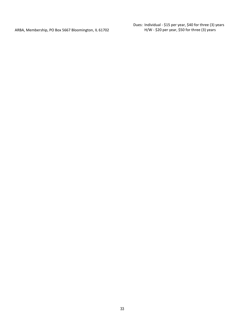ARBA, Membership, PO Box 5667 Bloomington, IL 61702

Dues: Individual - \$15 per year, \$40 for three (3) years H/W - \$20 per year, \$50 for three (3) years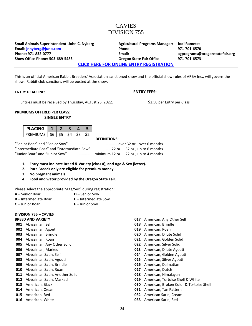### CAVIES DIVISION 755

**Small Animals Superintendent: John C. Nyberg Agricultural Programs Manager: Jodi Rametes Email: [jnnyberg@juno.com](mailto:jnnyberg@juno.com) Phone: 971-701-6570 Phone: 971-832-0777 Email: agprograms@oregonstatefair.org Show Office Phone: 503-689-5483 Oregon State Fair Office: 971-701-6573**

**[CLICK HERE FOR ONLINE ENTRY REGISTRATION](http://oregona.fairwire.com/)**

This is an official American Rabbit Breeders' Association sanctioned show and the official show rules of ARBA Inc., will govern the show. Rabbit club sanctions will be posted at the show.

#### **ENTRY DEADLINE: ENTRY FEES:**

Entries must be received by Thursday, August 25, 2022. \$2.50 per Entry per Class

#### **PREMIUMS OFFERED PER CLASS: SINGLE ENTRY**

| PI ACING                   |  |  |  |
|----------------------------|--|--|--|
| PREMIUMS   \$6   \$5   \$4 |  |  |  |

#### **DEFINITIONS:**

"Senior Boar" and "Senior Sow" .............................................. over 32 oz., over 6 months "Intermediate Boar" and "Intermediate Sow" .................. 22 oz. – 32 oz., up to 6 months "Junior Boar" and "Junior Sow" ........................ minimum 12 oz. – 22 oz., up to 4 months

- **1. Entry must indicate Breed & Variety (class #), and Age & Sex (letter).**
- **2. Pure Breeds only are eligible for premium money.**
- **3. No pregnant animals.**
- **4. Food and water provided by the Oregon State Fair.**

Please select the appropriate "Age/Sex" during registration:

- **A** Senior Boar **D** Senior Sow
	-
- 
- **B** Intermediate Boar **E** Intermediate Sow
- **C** Junior Boar **F** Junior Sow
- 

# **DIVISION 755 – CAVIES**

### **BREED AND VARIETY**

- **001** Abyssinian, Self
- **002** Abyssinian, Agouti
- **003** Abyssinian, Brindle
- **004** Abyssinian, Roan
- **005** Abyssinian, Any Other Solid
- **006** Abyssinian, Marked
- **007** Abyssinian Satin, Self
- **008** Abyssinian Satin, Agouti
- **009** Abyssinian Satin, Brindle
- **010** Abyssinian Satin, Roan
- **011** Abyssinian Satin, Another Solid
- **012** Abyssinian Satin, Marked
- **013** American, Black
- **014** American, Cream
- **015** American, Red
- **016** American, White
- **017** American, Any Other Self
- **018** American, Brindle
- **019** American, Roan
- **020** American, Dilute Solid
- **021** American, Golden Solid
- **022** American, Silver Solid
- **023** American, Dilute Agouti
- **024** American, Golden Agouti
- **025** American, Silver Agouti
- **026** American, Dalmatian
- **027** American, Dutch
- **028** American, Himalayan
- **029** American, Tortoise Shell & White
- **030** American, Broken Color & Tortoise Shell
- **031** American, Tan Pattern
- **032** American Satin, Cream
- **033** American Satin, Red